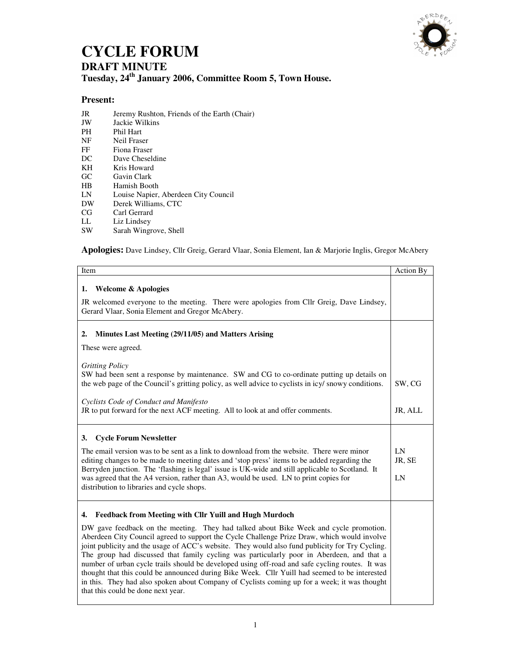

## **CYCLE FORUM DRAFT MINUTE**

**Tuesday, 24th January 2006, Committee Room 5, Town House.** 

## **Present:**

- JR Jeremy Rushton, Friends of the Earth (Chair)<br>JW Jackie Wilkins
- JW Jackie Wilkins
- Phil Hart
- NF Neil Fraser<br>FF Fiona Frase
- FF Fiona Fraser<br>DC Dave Chesel
- Dave Cheseldine
- KH Kris Howard
- GC Gavin Clark
- HB Hamish Booth<br>LN Louise Napier,
- Louise Napier, Aberdeen City Council
- DW Derek Williams, CTC
- CG Carl Gerrard
- LL Liz Lindsey
- SW Sarah Wingrove, Shell

**Apologies:** Dave Lindsey, Cllr Greig, Gerard Vlaar, Sonia Element, Ian & Marjorie Inglis, Gregor McAbery

| Item                                                                                                                                                                                                                                                                                                                                                                                                                                                                                                                                                                                                                                                                                                                           | Action By    |
|--------------------------------------------------------------------------------------------------------------------------------------------------------------------------------------------------------------------------------------------------------------------------------------------------------------------------------------------------------------------------------------------------------------------------------------------------------------------------------------------------------------------------------------------------------------------------------------------------------------------------------------------------------------------------------------------------------------------------------|--------------|
| <b>Welcome &amp; Apologies</b><br>ı.                                                                                                                                                                                                                                                                                                                                                                                                                                                                                                                                                                                                                                                                                           |              |
| JR welcomed everyone to the meeting. There were apologies from Cllr Greig, Dave Lindsey,<br>Gerard Vlaar, Sonia Element and Gregor McAbery.                                                                                                                                                                                                                                                                                                                                                                                                                                                                                                                                                                                    |              |
| Minutes Last Meeting (29/11/05) and Matters Arising<br>2.                                                                                                                                                                                                                                                                                                                                                                                                                                                                                                                                                                                                                                                                      |              |
| These were agreed.                                                                                                                                                                                                                                                                                                                                                                                                                                                                                                                                                                                                                                                                                                             |              |
| <b>Gritting Policy</b>                                                                                                                                                                                                                                                                                                                                                                                                                                                                                                                                                                                                                                                                                                         |              |
| SW had been sent a response by maintenance. SW and CG to co-ordinate putting up details on<br>the web page of the Council's gritting policy, as well advice to cyclists in icy/ snowy conditions.                                                                                                                                                                                                                                                                                                                                                                                                                                                                                                                              | SW, CG       |
| Cyclists Code of Conduct and Manifesto<br>JR to put forward for the next ACF meeting. All to look at and offer comments.                                                                                                                                                                                                                                                                                                                                                                                                                                                                                                                                                                                                       | JR, ALL      |
| <b>Cycle Forum Newsletter</b><br>3.                                                                                                                                                                                                                                                                                                                                                                                                                                                                                                                                                                                                                                                                                            |              |
| The email version was to be sent as a link to download from the website. There were minor<br>editing changes to be made to meeting dates and 'stop press' items to be added regarding the                                                                                                                                                                                                                                                                                                                                                                                                                                                                                                                                      | LN<br>JR, SE |
| Berryden junction. The 'flashing is legal' issue is UK-wide and still applicable to Scotland. It<br>was agreed that the A4 version, rather than A3, would be used. LN to print copies for<br>distribution to libraries and cycle shops.                                                                                                                                                                                                                                                                                                                                                                                                                                                                                        | LN           |
| <b>Feedback from Meeting with Cllr Yuill and Hugh Murdoch</b><br>4.                                                                                                                                                                                                                                                                                                                                                                                                                                                                                                                                                                                                                                                            |              |
| DW gave feedback on the meeting. They had talked about Bike Week and cycle promotion.<br>Aberdeen City Council agreed to support the Cycle Challenge Prize Draw, which would involve<br>joint publicity and the usage of ACC's website. They would also fund publicity for Try Cycling.<br>The group had discussed that family cycling was particularly poor in Aberdeen, and that a<br>number of urban cycle trails should be developed using off-road and safe cycling routes. It was<br>thought that this could be announced during Bike Week. Cllr Yuill had seemed to be interested<br>in this. They had also spoken about Company of Cyclists coming up for a week; it was thought<br>that this could be done next year. |              |